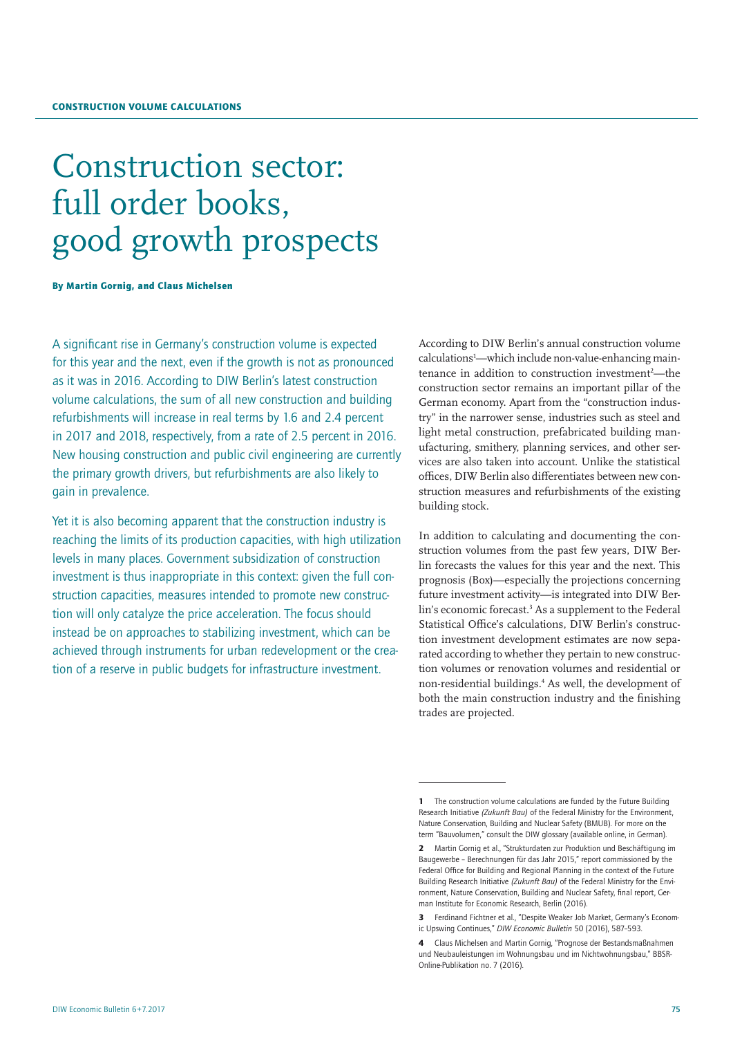# Construction sector: full order books, good growth prospects

By Martin Gornig, and Claus Michelsen

A significant rise in Germany's construction volume is expected for this year and the next, even if the growth is not as pronounced as it was in 2016. According to DIW Berlin's latest construction volume calculations, the sum of all new construction and building refurbishments will increase in real terms by 1.6 and 2.4 percent in 2017 and 2018, respectively, from a rate of 2.5 percent in 2016. New housing construction and public civil engineering are currently the primary growth drivers, but refurbishments are also likely to gain in prevalence.

Yet it is also becoming apparent that the construction industry is reaching the limits of its production capacities, with high utilization levels in many places. Government subsidization of construction investment is thus inappropriate in this context: given the full construction capacities, measures intended to promote new construction will only catalyze the price acceleration. The focus should instead be on approaches to stabilizing investment, which can be achieved through instruments for urban redevelopment or the creation of a reserve in public budgets for infrastructure investment.

According to DIW Berlin's annual construction volume calculations<sup>1</sup>—which include non-value-enhancing maintenance in addition to construction investment<sup>2</sup>—the construction sector remains an important pillar of the German economy. Apart from the "construction industry" in the narrower sense, industries such as steel and light metal construction, prefabricated building manufacturing, smithery, planning services, and other services are also taken into account. Unlike the statistical offices, DIW Berlin also differentiates between new construction measures and refurbishments of the existing building stock.

In addition to calculating and documenting the construction volumes from the past few years, DIW Berlin forecasts the values for this year and the next. This prognosis (Box)—especially the projections concerning future investment activity—is integrated into DIW Berlin's economic forecast.<sup>3</sup> As a supplement to the Federal Statistical Office's calculations, DIW Berlin's construction investment development estimates are now separated according to whether they pertain to new construction volumes or renovation volumes and residential or non-residential buildings.4 As well, the development of both the main construction industry and the finishing trades are projected.

The construction volume calculations are funded by the Future Building Research Initiative *(Zukunft Bau)* of the Federal Ministry for the Environment, Nature Conservation, Building and Nuclear Safety (BMUB). For more on the term "Bauvolumen," consult the DIW glossary [\(available online,](file:http://diw.de/de/diw_01.c.433507.de/presse/diw_glossar/konjunkturbarometer.html) in German).

<sup>2</sup> Martin Gornig et al., "Strukturdaten zur Produktion und Beschäftigung im Baugewerbe – Berechnungen für das Jahr 2015," report commissioned by the Federal Office for Building and Regional Planning in the context of the Future Building Research Initiative *(Zukunft Bau)* of the Federal Ministry for the Environment, Nature Conservation, Building and Nuclear Safety, final report, German Institute for Economic Research, Berlin (2016).

<sup>3</sup> Ferdinand Fichtner et al., "Despite Weaker Job Market, Germany's Economic Upswing Continues," *DIW Economic Bulletin* 50 (2016), 587–593.

<sup>4</sup> Claus Michelsen and Martin Gornig, "Prognose der Bestandsmaßnahmen und Neubauleistungen im Wohnungsbau und im Nichtwohnungsbau," BBSR-Online-Publikation no. 7 (2016).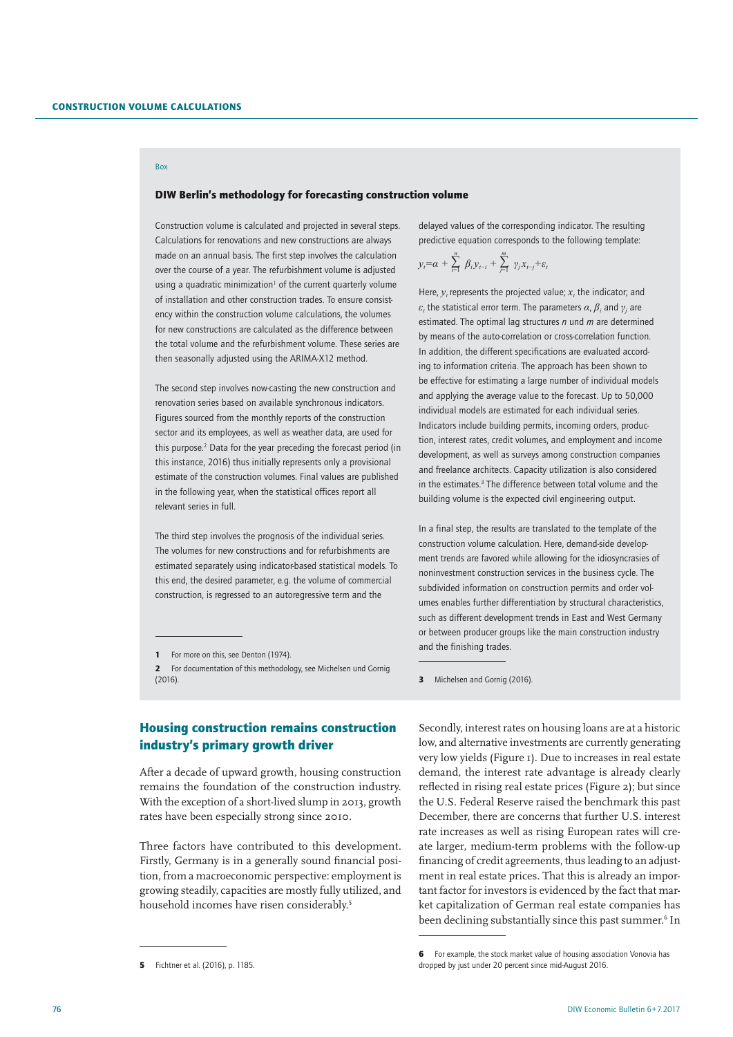## Box

## DIW Berlin's methodology for forecasting construction volume

Construction volume is calculated and projected in several steps. Calculations for renovations and new constructions are always made on an annual basis. The first step involves the calculation over the course of a year. The refurbishment volume is adjusted using a quadratic minimization<sup>1</sup> of the current quarterly volume of installation and other construction trades. To ensure consistency within the construction volume calculations, the volumes for new constructions are calculated as the difference between the total volume and the refurbishment volume. These series are then seasonally adjusted using the ARIMA-X12 method.

The second step involves now-casting the new construction and renovation series based on available synchronous indicators. Figures sourced from the monthly reports of the construction sector and its employees, as well as weather data, are used for this purpose.<sup>2</sup> Data for the year preceding the forecast period (in this instance, 2016) thus initially represents only a provisional estimate of the construction volumes. Final values are published in the following year, when the statistical offices report all relevant series in full.

The third step involves the prognosis of the individual series. The volumes for new constructions and for refurbishments are estimated separately using indicator-based statistical models. To this end, the desired parameter, e.g. the volume of commercial construction, is regressed to an autoregressive term and the

# Housing construction remains construction industry's primary growth driver

After a decade of upward growth, housing construction remains the foundation of the construction industry. With the exception of a short-lived slump in 2013, growth rates have been especially strong since 2010.

Three factors have contributed to this development. Firstly, Germany is in a generally sound financial position, from a macroeconomic perspective: employment is growing steadily, capacities are mostly fully utilized, and household incomes have risen considerably.<sup>5</sup>

delayed values of the corresponding indicator. The resulting predictive equation corresponds to the following template:

$$
y_t = \alpha + \sum_{i=1}^n \beta_i y_{t-i} + \sum_{j=1}^m \gamma_j x_{t-j} + \varepsilon_t
$$

Here,  $y_t$  represents the projected value;  $x_t$  the indicator; and *ε*<sub>*t*</sub> the statistical error term. The parameters *α*,  $β$ <sub>*i*</sub> and  $γ$ <sub>*j*</sub> are estimated. The optimal lag structures *n* und *m* are determined by means of the auto-correlation or cross-correlation function. In addition, the different specifications are evaluated according to information criteria. The approach has been shown to be effective for estimating a large number of individual models and applying the average value to the forecast. Up to 50,000 individual models are estimated for each individual series. Indicators include building permits, incoming orders, production, interest rates, credit volumes, and employment and income development, as well as surveys among construction companies and freelance architects. Capacity utilization is also considered in the estimates.<sup>3</sup> The difference between total volume and the building volume is the expected civil engineering output.

In a final step, the results are translated to the template of the construction volume calculation. Here, demand-side development trends are favored while allowing for the idiosyncrasies of noninvestment construction services in the business cycle. The subdivided information on construction permits and order volumes enables further differentiation by structural characteristics, such as different development trends in East and West Germany or between producer groups like the main construction industry and the finishing trades.

Secondly, interest rates on housing loans are at a historic low, and alternative investments are currently generating very low yields (Figure 1). Due to increases in real estate demand, the interest rate advantage is already clearly reflected in rising real estate prices (Figure 2); but since the U.S. Federal Reserve raised the benchmark this past December, there are concerns that further U.S. interest rate increases as well as rising European rates will create larger, medium-term problems with the follow-up financing of credit agreements, thus leading to an adjustment in real estate prices. That this is already an important factor for investors is evidenced by the fact that market capitalization of German real estate companies has been declining substantially since this past summer.<sup>6</sup> In

<sup>1</sup> For more on this, see Denton (1974).

<sup>2</sup> For documentation of this methodology, see Michelsen und Gornig (2016).

<sup>5</sup> Fichtner et al. (2016), p. 1185.

<sup>3</sup> Michelsen and Gornig (2016).

<sup>6</sup> For example, the stock market value of housing association Vonovia has dropped by just under 20 percent since mid-August 2016.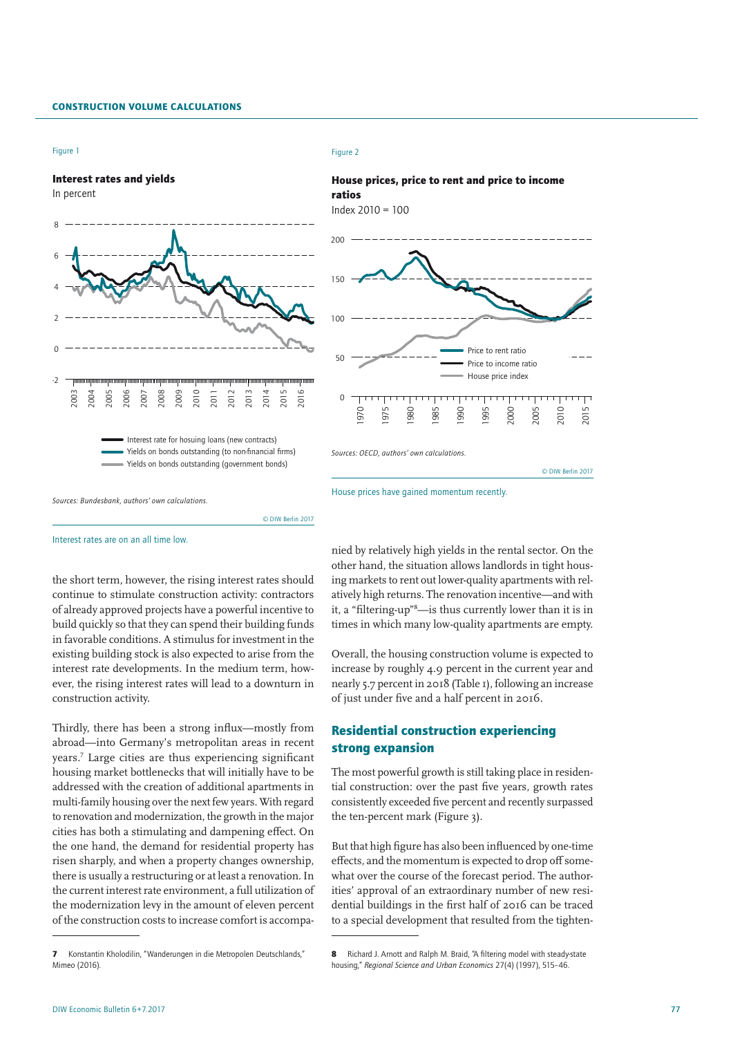## Construction Volume Calculations





© DIW Berlin 2017



#### Figure 2



House prices have gained momentum recently.

Interest rates are on an all time low.

the short term, however, the rising interest rates should continue to stimulate construction activity: contractors of already approved projects have a powerful incentive to build quickly so that they can spend their building funds in favorable conditions. A stimulus for investment in the existing building stock is also expected to arise from the interest rate developments. In the medium term, however, the rising interest rates will lead to a downturn in construction activity.

Thirdly, there has been a strong influx—mostly from abroad—into Germany's metropolitan areas in recent years.7 Large cities are thus experiencing significant housing market bottlenecks that will initially have to be addressed with the creation of additional apartments in multi-family housing over the next few years. With regard to renovation and modernization, the growth in the major cities has both a stimulating and dampening effect. On the one hand, the demand for residential property has risen sharply, and when a property changes ownership, there is usually a restructuring or at least a renovation. In the current interest rate environment, a full utilization of the modernization levy in the amount of eleven percent of the construction costs to increase comfort is accompanied by relatively high yields in the rental sector. On the other hand, the situation allows landlords in tight housing markets to rent out lower-quality apartments with relatively high returns. The renovation incentive—and with it, a "filtering-up"8 —is thus currently lower than it is in times in which many low-quality apartments are empty.

© DIW Berlin 2017

Overall, the housing construction volume is expected to increase by roughly 4.9 percent in the current year and nearly 5.7 percent in 2018 (Table 1), following an increase of just under five and a half percent in 2016.

# Residential construction experiencing strong expansion

The most powerful growth is still taking place in residential construction: over the past five years, growth rates consistently exceeded five percent and recently surpassed the ten-percent mark (Figure 3).

But that high figure has also been influenced by one-time effects, and the momentum is expected to drop off somewhat over the course of the forecast period. The authorities' approval of an extraordinary number of new residential buildings in the first half of 2016 can be traced to a special development that resulted from the tighten-

<sup>7</sup> Konstantin Kholodilin, "Wanderungen in die Metropolen Deutschlands," Mimeo (2016).

<sup>8</sup> Richard J. Arnott and Ralph M. Braid, "A filtering model with steady-state housing," *Regional Science and Urban Economics* 27(4) (1997), 515–46.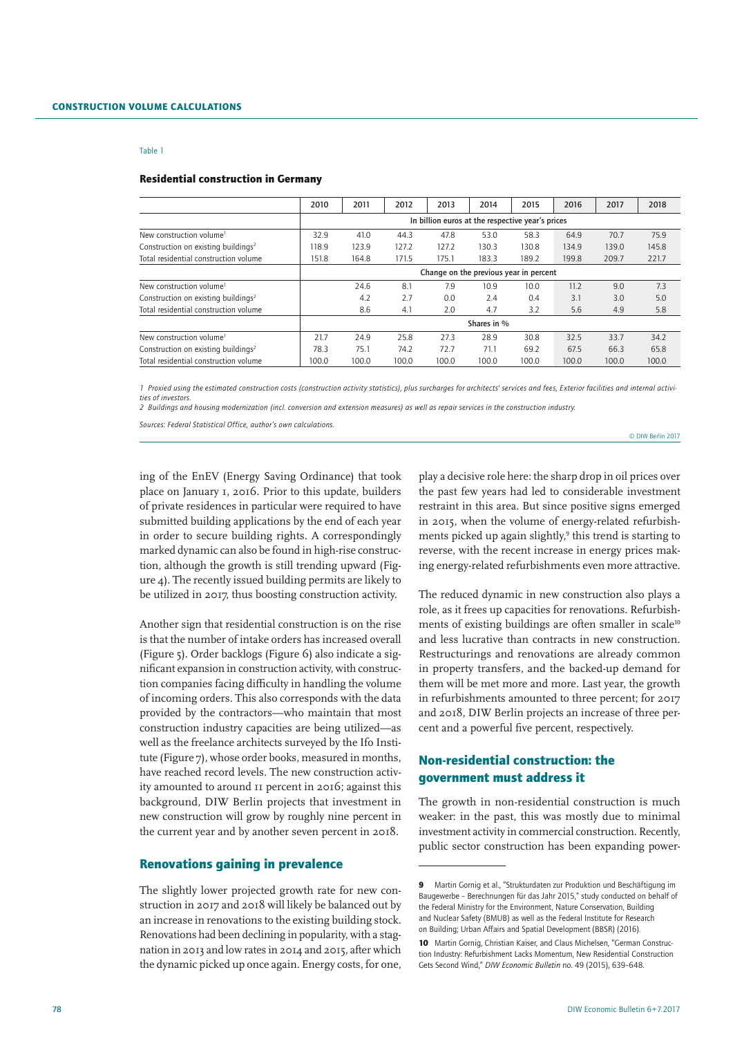#### Residential construction in Germany

|                                                 | 2010                                             | 2011        | 2012  | 2013  | 2014  | 2015  | 2016  | 2017  | 2018  |  |  |  |
|-------------------------------------------------|--------------------------------------------------|-------------|-------|-------|-------|-------|-------|-------|-------|--|--|--|
|                                                 | In billion euros at the respective year's prices |             |       |       |       |       |       |       |       |  |  |  |
| New construction volume <sup>1</sup>            | 32.9                                             | 41.0        | 44.3  | 47.8  | 53.0  | 58.3  | 64.9  | 70.7  | 75.9  |  |  |  |
| Construction on existing buildings <sup>2</sup> | 118.9                                            | 123.9       | 127.2 | 127.2 | 130.3 | 130.8 | 134.9 | 139.0 | 145.8 |  |  |  |
| Total residential construction volume           | 151.8                                            | 164.8       | 171.5 | 175.1 | 183.3 | 189.2 | 199.8 | 209.7 | 221.7 |  |  |  |
|                                                 | Change on the previous year in percent           |             |       |       |       |       |       |       |       |  |  |  |
| New construction volume <sup>1</sup>            |                                                  | 24.6        | 8.1   | 7.9   | 10.9  | 10.0  | 11.2  | 9.0   | 7.3   |  |  |  |
| Construction on existing buildings <sup>2</sup> |                                                  | 4.2         | 2.7   | 0.0   | 2.4   | 0.4   | 3.1   | 3.0   | 5.0   |  |  |  |
| Total residential construction volume           |                                                  | 8.6         | 4.1   | 2.0   | 4.7   | 3.2   | 5.6   | 4.9   | 5.8   |  |  |  |
|                                                 |                                                  | Shares in % |       |       |       |       |       |       |       |  |  |  |
| New construction volume <sup>1</sup>            | 21.7                                             | 24.9        | 25.8  | 27.3  | 28.9  | 30.8  | 32.5  | 33.7  | 34.2  |  |  |  |
| Construction on existing buildings <sup>2</sup> | 78.3                                             | 75.1        | 74.2  | 72.7  | 71.1  | 69.2  | 67.5  | 66.3  | 65.8  |  |  |  |
| Total residential construction volume           | 100.0                                            | 100.0       | 100.0 | 100.0 | 100.0 | 100.0 | 100.0 | 100.0 | 100.0 |  |  |  |

*1 Proxied using the estimated construction costs (construction activity statistics), plus surcharges for architects' services and fees, Exterior facilities and internal activities of investors.*

*2 Buildings and housing modernization (incl. conversion and extension measures) as well as repair services in the construction industry.*

*Sources: Federal Statistical Office, author's own calculations.*

© DIW Berlin 2017

ing of the EnEV (Energy Saving Ordinance) that took place on January 1, 2016. Prior to this update, builders of private residences in particular were required to have submitted building applications by the end of each year in order to secure building rights. A correspondingly marked dynamic can also be found in high-rise construction, although the growth is still trending upward (Figure 4). The recently issued building permits are likely to be utilized in 2017, thus boosting construction activity.

Another sign that residential construction is on the rise is that the number of intake orders has increased overall (Figure 5). Order backlogs (Figure 6) also indicate a significant expansion in construction activity, with construction companies facing difficulty in handling the volume of incoming orders. This also corresponds with the data provided by the contractors—who maintain that most construction industry capacities are being utilized—as well as the freelance architects surveyed by the Ifo Institute (Figure 7), whose order books, measured in months, have reached record levels. The new construction activity amounted to around 11 percent in 2016; against this background, DIW Berlin projects that investment in new construction will grow by roughly nine percent in the current year and by another seven percent in 2018.

## Renovations gaining in prevalence

The slightly lower projected growth rate for new construction in 2017 and 2018 will likely be balanced out by an increase in renovations to the existing building stock. Renovations had been declining in popularity, with a stagnation in 2013 and low rates in 2014 and 2015, after which the dynamic picked up once again. Energy costs, for one,

play a decisive role here: the sharp drop in oil prices over the past few years had led to considerable investment restraint in this area. But since positive signs emerged in 2015, when the volume of energy-related refurbishments picked up again slightly,<sup>9</sup> this trend is starting to reverse, with the recent increase in energy prices making energy-related refurbishments even more attractive.

The reduced dynamic in new construction also plays a role, as it frees up capacities for renovations. Refurbishments of existing buildings are often smaller in scale<sup>10</sup> and less lucrative than contracts in new construction. Restructurings and renovations are already common in property transfers, and the backed-up demand for them will be met more and more. Last year, the growth in refurbishments amounted to three percent; for 2017 and 2018, DIW Berlin projects an increase of three percent and a powerful five percent, respectively.

# Non-residential construction: the government must address it

The growth in non-residential construction is much weaker: in the past, this was mostly due to minimal investment activity in commercial construction. Recently, public sector construction has been expanding power-

<sup>9</sup> Martin Gornig et al., "Strukturdaten zur Produktion und Beschäftigung im Baugewerbe – Berechnungen für das Jahr 2015," study conducted on behalf of the Federal Ministry for the Environment, Nature Conservation, Building and Nuclear Safety (BMUB) as well as the Federal Institute for Research on Building; Urban Affairs and Spatial Development (BBSR) (2016).

<sup>10</sup> Martin Gornig, Christian Kaiser, and Claus Michelsen, "German Construction Industry: Refurbishment Lacks Momentum, New Residential Construction Gets Second Wind," *DIW Economic Bulletin* no. 49 (2015), 639–648.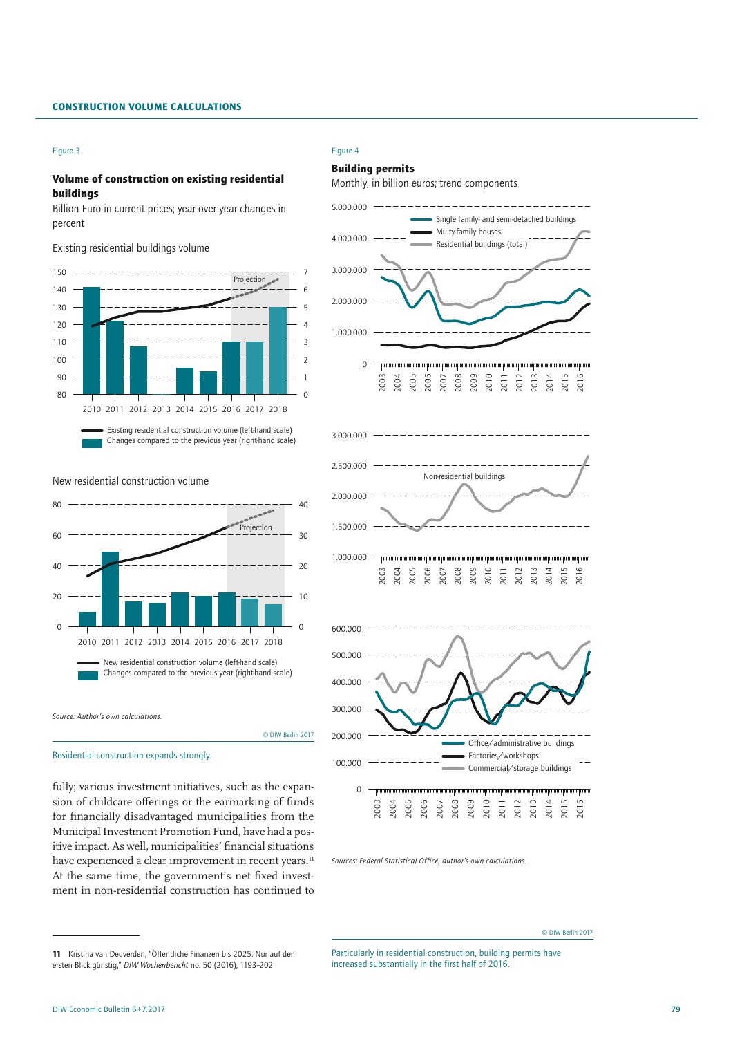## Construction Volume Calculations

#### Figure 3

## Volume of construction on existing residential buildings

Billion Euro in current prices; year over year changes in percent

Existing residential buildings volume



Changes compared to the previous year (right-hand scale)

New residential construction volume



Residential construction expands strongly.

fully; various investment initiatives, such as the expansion of childcare offerings or the earmarking of funds for financially disadvantaged municipalities from the Municipal Investment Promotion Fund, have had a positive impact. As well, municipalities' financial situations have experienced a clear improvement in recent years.<sup>11</sup> At the same time, the government's net fixed investment in non-residential construction has continued to

#### Figure 4

## Building permits

Monthly, in billion euros; trend components



*Sources: Federal Statistical Office, author's own calculations.*

11 Kristina van Deuverden, "Öffentliche Finanzen bis 2025: Nur auf den ersten Blick günstig," *DIW Wochenbericht* no. 50 (2016), 1193–202.

© DIW Berlin 2017

Particularly in residential construction, building permits have increased substantially in the first half of 2016.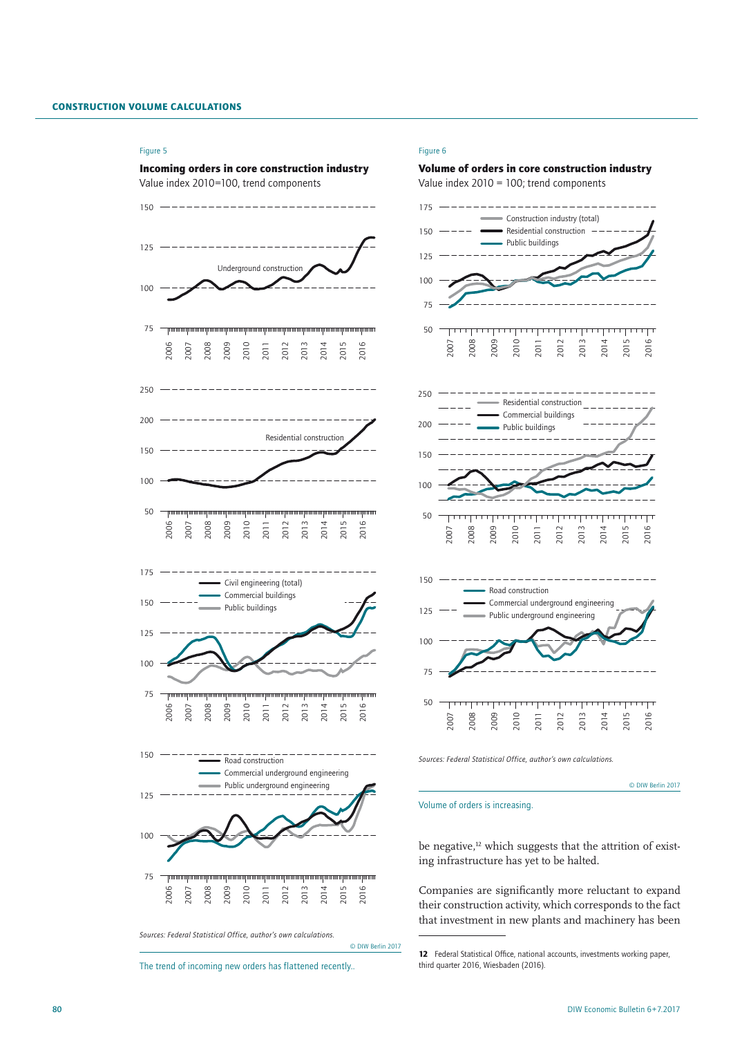#### Figure 5



*Sources: Federal Statistical Office, author's own calculations.*

The trend of incoming new orders has flattened recently..

© DIW Berlin 2017

#### Figure 6



*Sources: Federal Statistical Office, author's own calculations.*

© DIW Berlin 2017

## Volume of orders is increasing.

be negative, which suggests that the attrition of existing infrastructure has yet to be halted.

Companies are significantly more reluctant to expand their construction activity, which corresponds to the fact that investment in new plants and machinery has been

<sup>12</sup> Federal Statistical Office, national accounts, investments working paper, third quarter 2016, Wiesbaden (2016).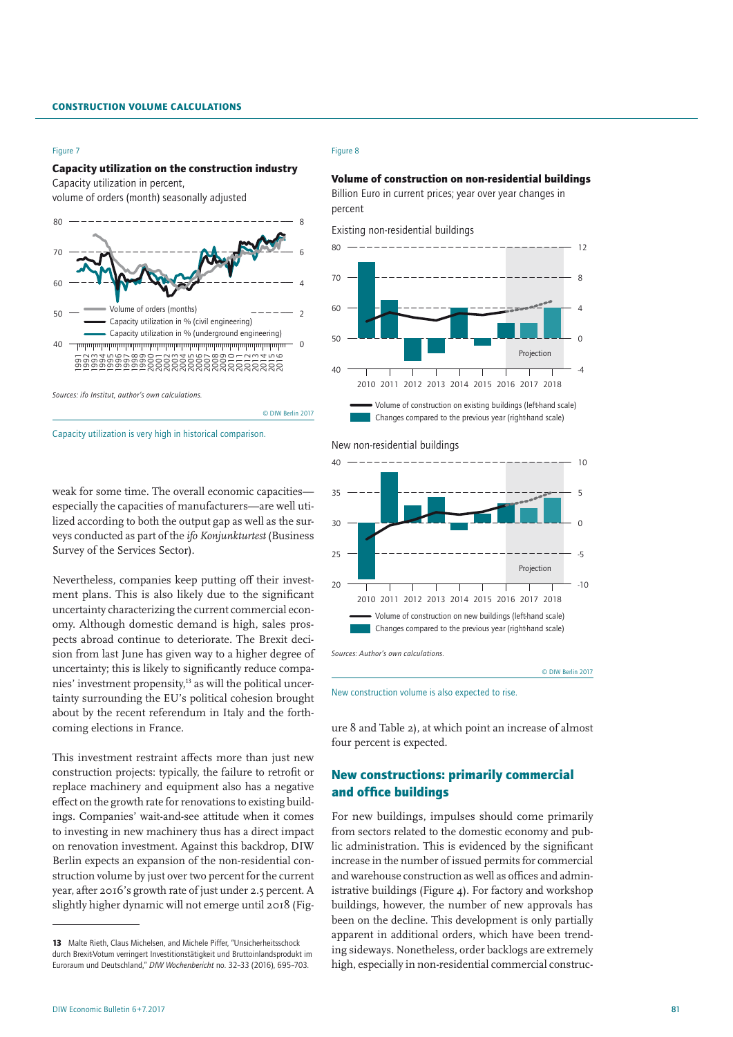#### Figure 7

## Capacity utilization on the construction industry

Capacity utilization in percent,

volume of orders (month) seasonally adjusted



weak for some time. The overall economic capacities especially the capacities of manufacturers—are well utilized according to both the output gap as well as the surveys conducted as part of the *ifo Konjunkturtest* (Business Survey of the Services Sector).

Nevertheless, companies keep putting off their investment plans. This is also likely due to the significant uncertainty characterizing the current commercial economy. Although domestic demand is high, sales prospects abroad continue to deteriorate. The Brexit decision from last June has given way to a higher degree of uncertainty; this is likely to significantly reduce companies' investment propensity,13 as will the political uncertainty surrounding the EU's political cohesion brought about by the recent referendum in Italy and the forthcoming elections in France.

This investment restraint affects more than just new construction projects: typically, the failure to retrofit or replace machinery and equipment also has a negative effect on the growth rate for renovations to existing buildings. Companies' wait-and-see attitude when it comes to investing in new machinery thus has a direct impact on renovation investment. Against this backdrop, DIW Berlin expects an expansion of the non-residential construction volume by just over two percent for the current year, after 2016's growth rate of just under 2.5 percent. A slightly higher dynamic will not emerge until 2018 (Fig-

#### Figure 8

© DIW Berlin 2017

# Volume of construction on non-residential buildings

Billion Euro in current prices; year over year changes in percent





#### New non-residential buildings



New construction volume is also expected to rise.

ure 8 and Table 2), at which point an increase of almost four percent is expected.

# New constructions: primarily commercial and office buildings

For new buildings, impulses should come primarily from sectors related to the domestic economy and public administration. This is evidenced by the significant increase in the number of issued permits for commercial and warehouse construction as well as offices and administrative buildings (Figure 4). For factory and workshop buildings, however, the number of new approvals has been on the decline. This development is only partially apparent in additional orders, which have been trending sideways. Nonetheless, order backlogs are extremely high, especially in non-residential commercial construc-

Capacity utilization is very high in historical comparison.

<sup>13</sup> Malte Rieth, Claus Michelsen, and Michele Piffer, "Unsicherheitsschock durch Brexit-Votum verringert Investitionstätigkeit und Bruttoinlandsprodukt im Euroraum und Deutschland," *DIW Wochenbericht* no. 32–33 (2016), 695–703.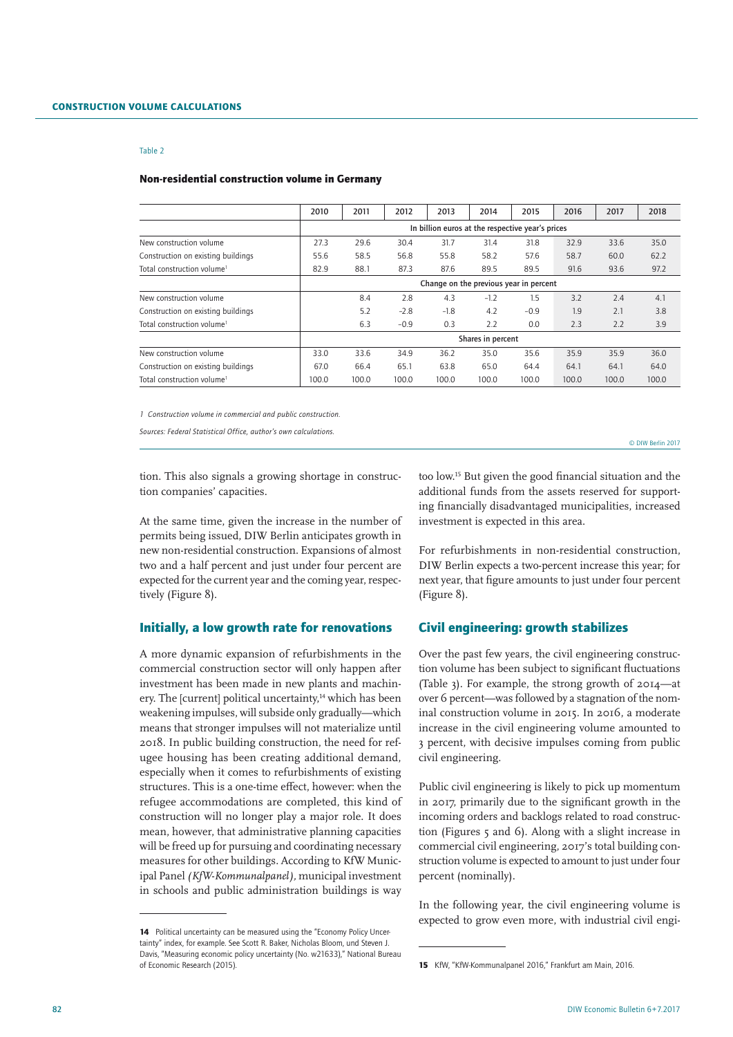#### Non-residential construction volume in Germany

|                                        | 2010                                             | 2011  | 2012   | 2013   | 2014              | 2015   | 2016  | 2017  | 2018  |  |  |  |
|----------------------------------------|--------------------------------------------------|-------|--------|--------|-------------------|--------|-------|-------|-------|--|--|--|
|                                        | In billion euros at the respective year's prices |       |        |        |                   |        |       |       |       |  |  |  |
| New construction volume                | 27.3                                             | 29.6  | 30.4   | 31.7   | 31.4              | 31.8   | 32.9  | 33.6  | 35.0  |  |  |  |
| Construction on existing buildings     | 55.6                                             | 58.5  | 56.8   | 55.8   | 58.2              | 57.6   | 58.7  | 60.0  | 62.2  |  |  |  |
| Total construction volume <sup>1</sup> | 82.9                                             | 88.1  | 87.3   | 87.6   | 89.5              | 89.5   | 91.6  | 93.6  | 97.2  |  |  |  |
|                                        | Change on the previous year in percent           |       |        |        |                   |        |       |       |       |  |  |  |
| New construction volume                |                                                  | 8.4   | 2.8    | 4.3    | $-1.2$            | 1.5    | 3.2   | 2.4   | 4.1   |  |  |  |
| Construction on existing buildings     |                                                  | 5.2   | $-2.8$ | $-1.8$ | 4.2               | $-0.9$ | 1.9   | 2.1   | 3.8   |  |  |  |
| Total construction volume <sup>1</sup> |                                                  | 6.3   | $-0.9$ | 0.3    | 2.2               | 0.0    | 2.3   | 2.2   | 3.9   |  |  |  |
|                                        |                                                  |       |        |        | Shares in percent |        |       |       |       |  |  |  |
| New construction volume                | 33.0                                             | 33.6  | 34.9   | 36.2   | 35.0              | 35.6   | 35.9  | 35.9  | 36.0  |  |  |  |
| Construction on existing buildings     | 67.0                                             | 66.4  | 65.1   | 63.8   | 65.0              | 64.4   | 64.1  | 64.1  | 64.0  |  |  |  |
| Total construction volume <sup>1</sup> | 100.0                                            | 100.0 | 100.0  | 100.0  | 100.0             | 100.0  | 100.0 | 100.0 | 100.0 |  |  |  |

*1 Construction volume in commercial and public construction.*

*Sources: Federal Statistical Office, author's own calculations.*

© DIW Berlin 2017

tion. This also signals a growing shortage in construction companies' capacities.

At the same time, given the increase in the number of permits being issued, DIW Berlin anticipates growth in new non-residential construction. Expansions of almost two and a half percent and just under four percent are expected for the current year and the coming year, respectively (Figure 8).

## Initially, a low growth rate for renovations

A more dynamic expansion of refurbishments in the commercial construction sector will only happen after investment has been made in new plants and machinery. The [current] political uncertainty,<sup>14</sup> which has been weakening impulses, will subside only gradually—which means that stronger impulses will not materialize until 2018. In public building construction, the need for refugee housing has been creating additional demand, especially when it comes to refurbishments of existing structures. This is a one-time effect, however: when the refugee accommodations are completed, this kind of construction will no longer play a major role. It does mean, however, that administrative planning capacities will be freed up for pursuing and coordinating necessary measures for other buildings. According to KfW Municipal Panel *(KfW-Kommunalpanel),* municipal investment in schools and public administration buildings is way

too low.15 But given the good financial situation and the additional funds from the assets reserved for supporting financially disadvantaged municipalities, increased investment is expected in this area.

For refurbishments in non-residential construction, DIW Berlin expects a two-percent increase this year; for next year, that figure amounts to just under four percent (Figure 8).

# Civil engineering: growth stabilizes

Over the past few years, the civil engineering construction volume has been subject to significant fluctuations (Table 3). For example, the strong growth of 2014—at over 6 percent—was followed by a stagnation of the nominal construction volume in 2015. In 2016, a moderate increase in the civil engineering volume amounted to 3 percent, with decisive impulses coming from public civil engineering.

Public civil engineering is likely to pick up momentum in 2017, primarily due to the significant growth in the incoming orders and backlogs related to road construction (Figures 5 and 6). Along with a slight increase in commercial civil engineering, 2017's total building construction volume is expected to amount to just under four percent (nominally).

In the following year, the civil engineering volume is expected to grow even more, with industrial civil engi-

<sup>14</sup> Political uncertainty can be measured using the "Economy Policy Uncertainty" index, for example. See Scott R. Baker, Nicholas Bloom, und Steven J. Davis, "Measuring economic policy uncertainty (No. w21633)," National Bureau of Economic Research (2015).

<sup>15</sup> KfW, "KfW-Kommunalpanel 2016," Frankfurt am Main, 2016.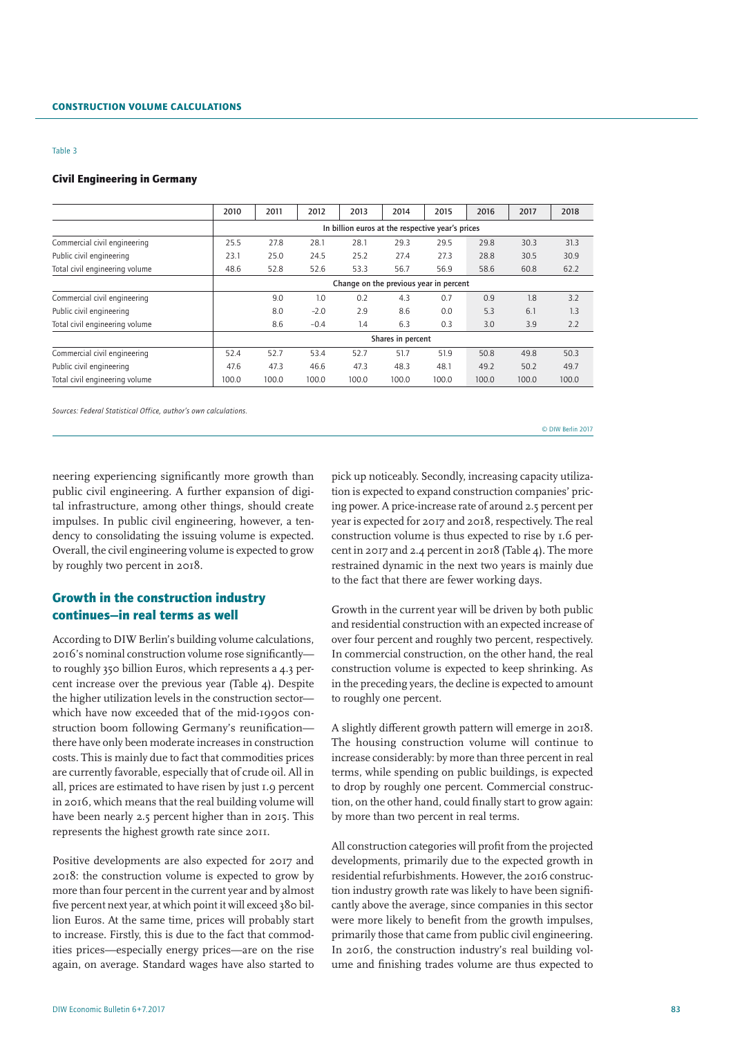### Civil Engineering in Germany

|                                | 2010                                   | 2011  | 2012   | 2013                                             | 2014              | 2015  | 2016  | 2017  | 2018  |  |  |  |
|--------------------------------|----------------------------------------|-------|--------|--------------------------------------------------|-------------------|-------|-------|-------|-------|--|--|--|
|                                |                                        |       |        | In billion euros at the respective year's prices |                   |       |       |       |       |  |  |  |
| Commercial civil engineering   | 25.5                                   | 27.8  | 28.1   | 28.1                                             | 29.3              | 29.5  | 29.8  | 30.3  | 31.3  |  |  |  |
| Public civil engineering       | 23.1                                   | 25.0  | 24.5   | 25.2                                             | 27.4              | 27.3  | 28.8  | 30.5  | 30.9  |  |  |  |
| Total civil engineering volume | 48.6                                   | 52.8  | 52.6   | 53.3                                             | 56.7              | 56.9  | 58.6  | 60.8  | 62.2  |  |  |  |
|                                | Change on the previous year in percent |       |        |                                                  |                   |       |       |       |       |  |  |  |
| Commercial civil engineering   |                                        | 9.0   | 1.0    | 0.2                                              | 4.3               | 0.7   | 0.9   | 1.8   | 3.2   |  |  |  |
| Public civil engineering       |                                        | 8.0   | $-2.0$ | 2.9                                              | 8.6               | 0.0   | 5.3   | 6.1   | 1.3   |  |  |  |
| Total civil engineering volume |                                        | 8.6   | $-0.4$ | 1.4                                              | 6.3               | 0.3   | 3.0   | 3.9   | 2.2   |  |  |  |
|                                |                                        |       |        |                                                  | Shares in percent |       |       |       |       |  |  |  |
| Commercial civil engineering   | 52.4                                   | 52.7  | 53.4   | 52.7                                             | 51.7              | 51.9  | 50.8  | 49.8  | 50.3  |  |  |  |
| Public civil engineering       | 47.6                                   | 47.3  | 46.6   | 47.3                                             | 48.3              | 48.1  | 49.2  | 50.2  | 49.7  |  |  |  |
| Total civil engineering volume | 100.0                                  | 100.0 | 100.0  | 100.0                                            | 100.0             | 100.0 | 100.0 | 100.0 | 100.0 |  |  |  |

*Sources: Federal Statistical Office, author's own calculations.*

neering experiencing significantly more growth than public civil engineering. A further expansion of digital infrastructure, among other things, should create impulses. In public civil engineering, however, a tendency to consolidating the issuing volume is expected. Overall, the civil engineering volume is expected to grow by roughly two percent in 2018.

# Growth in the construction industry continues—in real terms as well

According to DIW Berlin's building volume calculations, 2016's nominal construction volume rose significantly to roughly 350 billion Euros, which represents a 4.3 percent increase over the previous year (Table 4). Despite the higher utilization levels in the construction sector which have now exceeded that of the mid-1990s construction boom following Germany's reunification there have only been moderate increases in construction costs. This is mainly due to fact that commodities prices are currently favorable, especially that of crude oil. All in all, prices are estimated to have risen by just 1.9 percent in 2016, which means that the real building volume will have been nearly 2.5 percent higher than in 2015. This represents the highest growth rate since 2011.

Positive developments are also expected for 2017 and 2018: the construction volume is expected to grow by more than four percent in the current year and by almost five percent next year, at which point it will exceed 380 billion Euros. At the same time, prices will probably start to increase. Firstly, this is due to the fact that commodities prices—especially energy prices—are on the rise again, on average. Standard wages have also started to

pick up noticeably. Secondly, increasing capacity utilization is expected to expand construction companies' pricing power. A price-increase rate of around 2.5 percent per year is expected for 2017 and 2018, respectively. The real construction volume is thus expected to rise by 1.6 percent in 2017 and 2.4 percent in 2018 (Table 4). The more restrained dynamic in the next two years is mainly due to the fact that there are fewer working days.

© DIW Berlin 2017

Growth in the current year will be driven by both public and residential construction with an expected increase of over four percent and roughly two percent, respectively. In commercial construction, on the other hand, the real construction volume is expected to keep shrinking. As in the preceding years, the decline is expected to amount to roughly one percent.

A slightly different growth pattern will emerge in 2018. The housing construction volume will continue to increase considerably: by more than three percent in real terms, while spending on public buildings, is expected to drop by roughly one percent. Commercial construction, on the other hand, could finally start to grow again: by more than two percent in real terms.

All construction categories will profit from the projected developments, primarily due to the expected growth in residential refurbishments. However, the 2016 construction industry growth rate was likely to have been significantly above the average, since companies in this sector were more likely to benefit from the growth impulses, primarily those that came from public civil engineering. In 2016, the construction industry's real building volume and finishing trades volume are thus expected to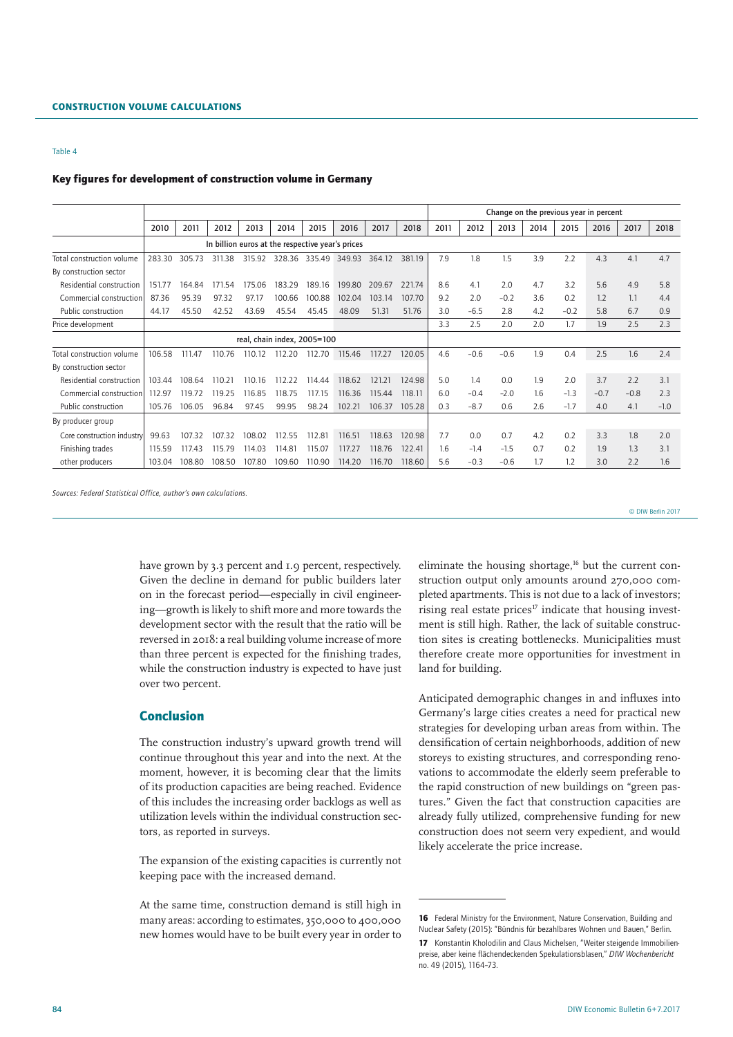#### Key figures for development of construction volume in Germany

|                            |        |        |                                                  |        |        |                             |        |        |        |      |        |        |      | Change on the previous year in percent |        |        |        |
|----------------------------|--------|--------|--------------------------------------------------|--------|--------|-----------------------------|--------|--------|--------|------|--------|--------|------|----------------------------------------|--------|--------|--------|
|                            | 2010   | 2011   | 2012                                             | 2013   | 2014   | 2015                        | 2016   | 2017   | 2018   | 2011 | 2012   | 2013   | 2014 | 2015                                   | 2016   | 2017   | 2018   |
|                            |        |        | In billion euros at the respective year's prices |        |        |                             |        |        |        |      |        |        |      |                                        |        |        |        |
| Total construction volume  | 283.30 | 305.73 | 311.38                                           | 315.92 | 328.36 | 335.49                      | 349.93 | 364.12 | 381.19 | 7.9  | 1.8    | 1.5    | 3.9  | 2.2                                    | 4.3    | 4.1    | 4.7    |
| By construction sector     |        |        |                                                  |        |        |                             |        |        |        |      |        |        |      |                                        |        |        |        |
| Residential construction   | 151.77 | 164.84 | 171.54                                           | 175.06 | 183.29 | 189.16                      | 199.80 | 209.67 | 221.74 | 8.6  | 4.1    | 2.0    | 4.7  | 3.2                                    | 5.6    | 4.9    | 5.8    |
| Commercial construction    | 87.36  | 95.39  | 97.32                                            | 97.17  | 100.66 | 100.88                      | 102.04 | 103.14 | 107.70 | 9.2  | 2.0    | $-0.2$ | 3.6  | 0.2                                    | 1.2    | 1.1    | 4.4    |
| Public construction        | 44.17  | 45.50  | 42.52                                            | 43.69  | 45.54  | 45.45                       | 48.09  | 51.31  | 51.76  | 3.0  | $-6.5$ | 2.8    | 4.2  | $-0.2$                                 | 5.8    | 6.7    | 0.9    |
| Price development          |        |        |                                                  |        |        |                             |        |        |        | 3.3  | 2.5    | 2.0    | 2.0  | 1.7                                    | 1.9    | 2.5    | 2.3    |
|                            |        |        |                                                  |        |        | real, chain index, 2005=100 |        |        |        |      |        |        |      |                                        |        |        |        |
| Total construction volume  | 106.58 | 111.47 | 110.76                                           | 110.12 | 112.20 | 112.70                      | 115.46 | 117.27 | 120.05 | 4.6  | $-0.6$ | $-0.6$ | l.9  | 0.4                                    | 2.5    | 1.6    | 2.4    |
| By construction sector     |        |        |                                                  |        |        |                             |        |        |        |      |        |        |      |                                        |        |        |        |
| Residential construction   | 103.44 | 108.64 | 110.21                                           | 110.16 | 112.22 | 114.44                      | 118.62 | 121.21 | 124.98 | 5.0  | 1.4    | 0.0    | 1.9  | 2.0                                    | 3.7    | 2.2    | 3.1    |
| Commercial construction    | 112.97 | 119.72 | 119.25                                           | 116.85 | 118.75 | 117.15                      | 116.36 | 115.44 | 118.11 | 6.0  | $-0.4$ | $-2.0$ | 1.6  | $-1.3$                                 | $-0.7$ | $-0.8$ | 2.3    |
| Public construction        | 105.76 | 106.05 | 96.84                                            | 97.45  | 99.95  | 98.24                       | 102.21 | 106.37 | 105.28 | 0.3  | $-8.7$ | 0.6    | 2.6  | $-1.7$                                 | 4.0    | 4.1    | $-1.0$ |
| By producer group          |        |        |                                                  |        |        |                             |        |        |        |      |        |        |      |                                        |        |        |        |
| Core construction industry | 99.63  | 107.32 | 107.32                                           | 108.02 | 112.55 | 112.81                      | 116.51 | 118.63 | 120.98 | 7.7  | 0.0    | 0.7    | 4.2  | 0.2                                    | 3.3    | 1.8    | 2.0    |
| Finishing trades           | 115.59 | 117.43 | 115.79                                           | 114.03 | 114.81 | 115.07                      | 117.27 | 118.76 | 122.41 | 1.6  | $-1.4$ | $-1.5$ | 0.7  | 0.2                                    | 1.9    | 1.3    | 3.1    |
| other producers            | 103.04 | 108.80 | 108.50                                           | 107.80 | 109.60 | 110.90                      | 114.20 | 116.70 | 118.60 | 5.6  | $-0.3$ | $-0.6$ | 1.7  | 1.2                                    | 3.0    | 2.2    | 1.6    |

*Sources: Federal Statistical Office, author's own calculations.*

© DIW Berlin 2017

have grown by 3.3 percent and 1.9 percent, respectively. Given the decline in demand for public builders later on in the forecast period—especially in civil engineering—growth is likely to shift more and more towards the development sector with the result that the ratio will be reversed in 2018: a real building volume increase of more than three percent is expected for the finishing trades, while the construction industry is expected to have just over two percent.

## Conclusion

The construction industry's upward growth trend will continue throughout this year and into the next. At the moment, however, it is becoming clear that the limits of its production capacities are being reached. Evidence of this includes the increasing order backlogs as well as utilization levels within the individual construction sectors, as reported in surveys.

The expansion of the existing capacities is currently not keeping pace with the increased demand.

At the same time, construction demand is still high in many areas: according to estimates, 350,000 to 400,000 new homes would have to be built every year in order to

eliminate the housing shortage,<sup>16</sup> but the current construction output only amounts around 270,000 completed apartments. This is not due to a lack of investors; rising real estate prices $17$  indicate that housing investment is still high. Rather, the lack of suitable construction sites is creating bottlenecks. Municipalities must therefore create more opportunities for investment in land for building.

Anticipated demographic changes in and influxes into Germany's large cities creates a need for practical new strategies for developing urban areas from within. The densification of certain neighborhoods, addition of new storeys to existing structures, and corresponding renovations to accommodate the elderly seem preferable to the rapid construction of new buildings on "green pastures." Given the fact that construction capacities are already fully utilized, comprehensive funding for new construction does not seem very expedient, and would likely accelerate the price increase.

<sup>16</sup> Federal Ministry for the Environment, Nature Conservation, Building and Nuclear Safety (2015): "Bündnis für bezahlbares Wohnen und Bauen," Berlin. 17 Konstantin Kholodilin and Claus Michelsen, "Weiter steigende Immobilienpreise, aber keine flächendeckenden Spekulationsblasen," *DIW Wochenbericht* no. 49 (2015), 1164–73.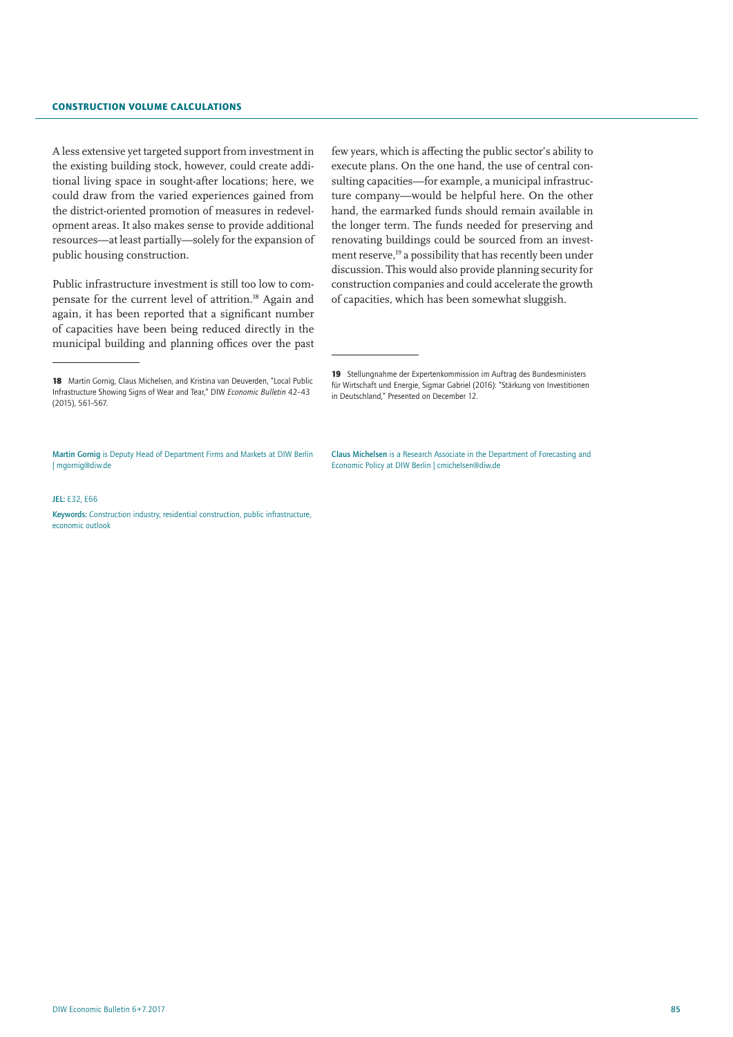## Construction Volume Calculations

A less extensive yet targeted support from investment in the existing building stock, however, could create additional living space in sought-after locations; here, we could draw from the varied experiences gained from the district-oriented promotion of measures in redevelopment areas. It also makes sense to provide additional resources—at least partially—solely for the expansion of public housing construction.

Public infrastructure investment is still too low to compensate for the current level of attrition.18 Again and again, it has been reported that a significant number of capacities have been being reduced directly in the municipal building and planning offices over the past

few years, which is affecting the public sector's ability to execute plans. On the one hand, the use of central consulting capacities—for example, a municipal infrastructure company—would be helpful here. On the other hand, the earmarked funds should remain available in the longer term. The funds needed for preserving and renovating buildings could be sourced from an investment reserve,<sup>19</sup> a possibility that has recently been under discussion. This would also provide planning security for construction companies and could accelerate the growth of capacities, which has been somewhat sluggish.

#### $IFL$ : E32, E66

Keywords: Construction industry, residential construction, public infrastructure, economic outlook

19 Stellungnahme der Expertenkommission im Auftrag des Bundesministers für Wirtschaft und Energie, Sigmar Gabriel (2016): "Stärkung von Investitionen in Deutschland," Presented on December 12.

Claus Michelsen is a Research Associate in the Department of Forecasting and Economic Policy at DIW Berlin | cmichelsen@diw.de

<sup>18</sup> Martin Gornig, Claus Michelsen, and Kristina van Deuverden, "Local Public Infrastructure Showing Signs of Wear and Tear," DIW *Economic Bulletin* 42–43 (2015), 561–567.

Martin Gornig is Deputy Head of Department Firms and Markets at DIW Berlin | mgornig@diw.de